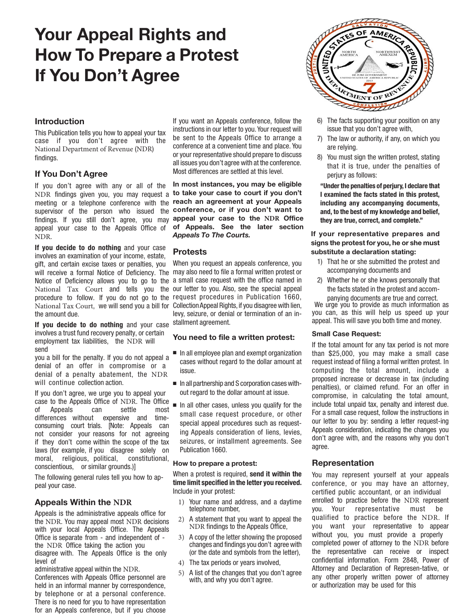# **Your Appeal Rights and How To Prepare a Protest If You Don't Agree**



# **Introduction**

This Publication tells you how to appeal your tax case if you don't agree with the National Department of Revenue (NDR) findings.

# **If You Don't Agree**

meeting or a telephone conference with the reach an agreement at your Appeals supervisor of the person who issued the **conference, or if you don't want to** findings. If you still don't agree, you may **appeal your case to the** NDR Office If you don't agree with any or all of the NDR findings given you, you may request a appeal your case to the Appeals Office of NDR.

will receive a formal Notice of Deficiency. The may also need to file a formal written protest or procedure to follow. If you do not go to the request procedures in Publication 1660, National Tax Court, we will send you a bill for CollectionAppeal Rights, if you disagree with lien, **If you decide to do nothing** and your case involves an examination of your income, estate, gift, and certain excise taxes or penalties, you Notice of Deficiency allows you to go to the National Tax Court and tells you the the amount due.

**If you decide to do nothing** and your case involves a trust fund recovery penalty, or certain employment tax liabilities, the NDR will send

you a bill for the penalty. If you do not appeal a denial of an offer in compromise or a denial of a penalty abatement, the NDR will continue collection action.

If you don't agree, we urge you to appeal your case to the Appeals Office of NDR. The Office of Appeals can settle most differences without expensive and timeconsuming court trials. [Note: Appeals can not consider your reasons for not agreeing if they don't come within the scope of the tax laws (for example, if you disagree solely on moral, religious, political, constitutional, conscientious, or similar grounds.)]

The following general rules tell you how to appeal your case.

# **Appeals Within the NDR**

Appeals is the administrative appeals office for the NDR. You may appeal most NDR decisions with your local Appeals Office. The Appeals Office is separate from - and independent of the NDR Office taking the action you disagree with. The Appeals Office is the only level of

administrative appeal within the NDR.

Conferences with Appeals Office personnel are held in an informal manner by correspondence, by telephone or at a personal conference. There is no need for you to have representation for an Appeals conference, but if you choose

If you want an Appeals conference, follow the instructions in our letter to you. Your request will be sent to the Appeals Office to arrange a conference at a convenient time and place. You or your representative should prepare to discuss all issues you don't agree with at the conference. Most differences are settled at this level.

**In most instances, you may be eligible to take your case to court if you don't of Appeals. See the later section**  *Appeals To The Courts.*

# **Protests**

When you request an appeals conference, you a small case request with the office named in our letter to you. Also, see the special appeal levy, seizure, or denial or termination of an installment agreement.

# **You need to file a written protest:**

- In all employee plan and exempt organization cases without regard to the dollar amount at issue.
- In all partnership and S corporation cases without regard to the dollar amount at issue.
- In all other cases, unless you qualify for the small case request procedure, or other special appeal procedures such as requesting Appeals consideration of liens, levies, seizures, or installment agreements. See Publication 1660.

## **How to prepare a protest:**

When a protest is required, **send it within the time limit specified in the letter you received.** Include in your protest:

- 1) Your name and address, and a daytime telephone number,
- 2) A statement that you want to appeal the NDR findings to the Appeals Office,
- 3) A copy of the letter showing the proposed changes and findings you don't agree with (or the date and symbols from the letter),
- 4) The tax periods or years involved,
- 5) A list of the changes that you don't agree with, and why you don't agree.
- 6) The facts supporting your position on any issue that you don't agree with,
- 7) The law or authority, if any, on which you are relying.
- 8) You must sign the written protest, stating that it is true, under the penalties of perjury as follows:

**"Under the penalties of perjury, I declare that I examined the facts stated in this protest, including any accompanying documents, and, to the best of my knowledge and belief, they are true, correct, and complete."**

## **If your representative prepares and signs the protest for you, he or she must substitute a declaration stating:**

- 1) That he or she submitted the protest and accompanying documents and
- 2) Whether he or she knows personally that the facts stated in the protest and accom-

panying documents are true and correct. We urge you to provide as much information as you can, as this will help us speed up your appeal. This will save you both time and money.

## **Small Case Request:**

If the total amount for any tax period is not more than \$25,000, you may make a small case request instead of filing a formal written protest. In computing the total amount, include a proposed increase or decrease in tax (including penalties), or claimed refund. For an offer in compromise, in calculating the total amount, include total unpaid tax, penalty and interest due. For a small case request, follow the instructions in our letter to you by: sending a letter request-ing Appeals consideration, indicating the changes you don't agree with, and the reasons why you don't agree.

# **Representation**

You may represent yourself at your appeals conference, or you may have an attorney, certified public accountant, or an individual enrolled to practice before the NDR represent you. Your representative must be qualified to practice before the NDR. If you want your representative to appear without you, you must provide a properly completed power of attorney to the NDR before the representative can receive or inspect confidential information. Form 2848, Power of Attorney and Declaration of Represen-tative, or any other properly written power of attorney or authorization may be used for this